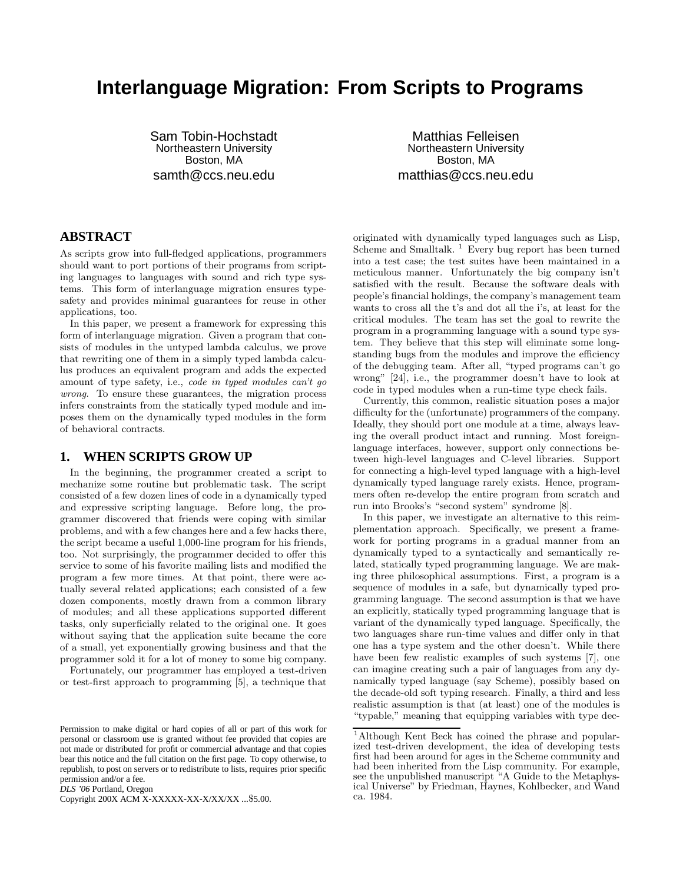# **Interlanguage Migration: From Scripts to Programs**

Sam Tobin-Hochstadt Northeastern University Boston, MA samth@ccs.neu.edu

Matthias Felleisen Northeastern University Boston, MA matthias@ccs.neu.edu

## **ABSTRACT**

As scripts grow into full-fledged applications, programmers should want to port portions of their programs from scripting languages to languages with sound and rich type systems. This form of interlanguage migration ensures typesafety and provides minimal guarantees for reuse in other applications, too.

In this paper, we present a framework for expressing this form of interlanguage migration. Given a program that consists of modules in the untyped lambda calculus, we prove that rewriting one of them in a simply typed lambda calculus produces an equivalent program and adds the expected amount of type safety, i.e., code in typed modules can't go wrong. To ensure these guarantees, the migration process infers constraints from the statically typed module and imposes them on the dynamically typed modules in the form of behavioral contracts.

## **1. WHEN SCRIPTS GROW UP**

In the beginning, the programmer created a script to mechanize some routine but problematic task. The script consisted of a few dozen lines of code in a dynamically typed and expressive scripting language. Before long, the programmer discovered that friends were coping with similar problems, and with a few changes here and a few hacks there, the script became a useful 1,000-line program for his friends, too. Not surprisingly, the programmer decided to offer this service to some of his favorite mailing lists and modified the program a few more times. At that point, there were actually several related applications; each consisted of a few dozen components, mostly drawn from a common library of modules; and all these applications supported different tasks, only superficially related to the original one. It goes without saying that the application suite became the core of a small, yet exponentially growing business and that the programmer sold it for a lot of money to some big company.

Fortunately, our programmer has employed a test-driven or test-first approach to programming [5], a technique that

*DLS '06* Portland, Oregon

Copyright 200X ACM X-XXXXX-XX-X/XX/XX ...\$5.00.

originated with dynamically typed languages such as Lisp, Scheme and Smalltalk.  $\frac{1}{1}$  Every bug report has been turned into a test case; the test suites have been maintained in a meticulous manner. Unfortunately the big company isn't satisfied with the result. Because the software deals with people's financial holdings, the company's management team wants to cross all the t's and dot all the i's, at least for the critical modules. The team has set the goal to rewrite the program in a programming language with a sound type system. They believe that this step will eliminate some longstanding bugs from the modules and improve the efficiency of the debugging team. After all, "typed programs can't go wrong" [24], i.e., the programmer doesn't have to look at code in typed modules when a run-time type check fails.

Currently, this common, realistic situation poses a major difficulty for the (unfortunate) programmers of the company. Ideally, they should port one module at a time, always leaving the overall product intact and running. Most foreignlanguage interfaces, however, support only connections between high-level languages and C-level libraries. Support for connecting a high-level typed language with a high-level dynamically typed language rarely exists. Hence, programmers often re-develop the entire program from scratch and run into Brooks's "second system" syndrome [8].

In this paper, we investigate an alternative to this reimplementation approach. Specifically, we present a framework for porting programs in a gradual manner from an dynamically typed to a syntactically and semantically related, statically typed programming language. We are making three philosophical assumptions. First, a program is a sequence of modules in a safe, but dynamically typed programming language. The second assumption is that we have an explicitly, statically typed programming language that is variant of the dynamically typed language. Specifically, the two languages share run-time values and differ only in that one has a type system and the other doesn't. While there have been few realistic examples of such systems [7], one can imagine creating such a pair of languages from any dynamically typed language (say Scheme), possibly based on the decade-old soft typing research. Finally, a third and less realistic assumption is that (at least) one of the modules is "typable," meaning that equipping variables with type dec-

Permission to make digital or hard copies of all or part of this work for personal or classroom use is granted without fee provided that copies are not made or distributed for profit or commercial advantage and that copies bear this notice and the full citation on the first page. To copy otherwise, to republish, to post on servers or to redistribute to lists, requires prior specific permission and/or a fee.

<sup>1</sup>Although Kent Beck has coined the phrase and popularized test-driven development, the idea of developing tests first had been around for ages in the Scheme community and had been inherited from the Lisp community. For example, see the unpublished manuscript "A Guide to the Metaphysical Universe" by Friedman, Haynes, Kohlbecker, and Wand ca. 1984.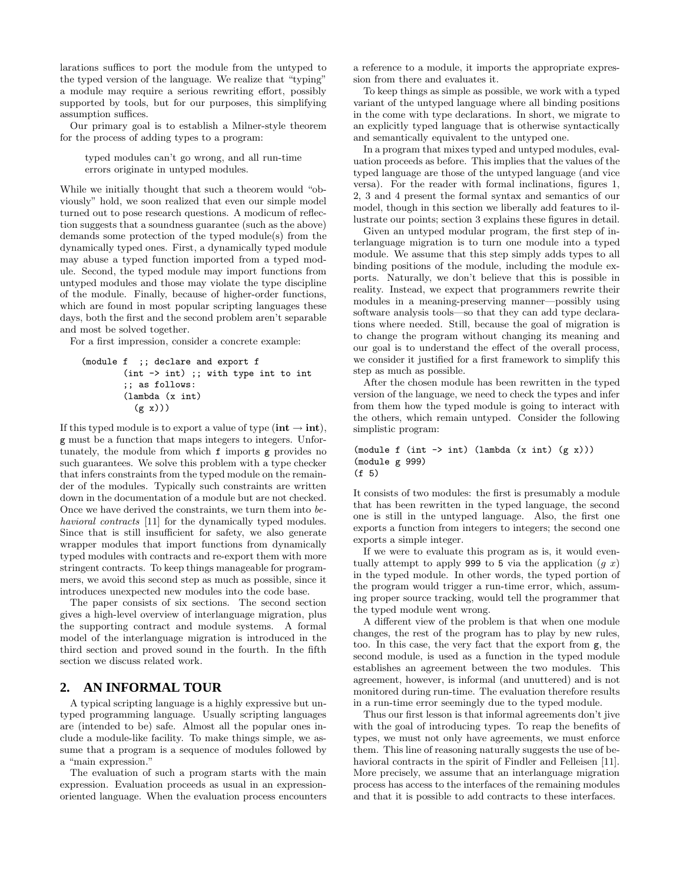larations suffices to port the module from the untyped to the typed version of the language. We realize that "typing" a module may require a serious rewriting effort, possibly supported by tools, but for our purposes, this simplifying assumption suffices.

Our primary goal is to establish a Milner-style theorem for the process of adding types to a program:

typed modules can't go wrong, and all run-time errors originate in untyped modules.

While we initially thought that such a theorem would "obviously" hold, we soon realized that even our simple model turned out to pose research questions. A modicum of reflection suggests that a soundness guarantee (such as the above) demands some protection of the typed module(s) from the dynamically typed ones. First, a dynamically typed module may abuse a typed function imported from a typed module. Second, the typed module may import functions from untyped modules and those may violate the type discipline of the module. Finally, because of higher-order functions, which are found in most popular scripting languages these days, both the first and the second problem aren't separable and most be solved together.

For a first impression, consider a concrete example:

```
(module f ;; declare and export f
       (int -> int) ;; with type int to int
       ;; as follows:
       (lambda (x int)
          (g x))
```
If this typed module is to export a value of type  $(int \rightarrow int)$ , g must be a function that maps integers to integers. Unfortunately, the module from which f imports g provides no such guarantees. We solve this problem with a type checker that infers constraints from the typed module on the remainder of the modules. Typically such constraints are written down in the documentation of a module but are not checked. Once we have derived the constraints, we turn them into behavioral contracts [11] for the dynamically typed modules. Since that is still insufficient for safety, we also generate wrapper modules that import functions from dynamically typed modules with contracts and re-export them with more stringent contracts. To keep things manageable for programmers, we avoid this second step as much as possible, since it introduces unexpected new modules into the code base.

The paper consists of six sections. The second section gives a high-level overview of interlanguage migration, plus the supporting contract and module systems. A formal model of the interlanguage migration is introduced in the third section and proved sound in the fourth. In the fifth section we discuss related work.

## **2. AN INFORMAL TOUR**

A typical scripting language is a highly expressive but untyped programming language. Usually scripting languages are (intended to be) safe. Almost all the popular ones include a module-like facility. To make things simple, we assume that a program is a sequence of modules followed by a "main expression."

The evaluation of such a program starts with the main expression. Evaluation proceeds as usual in an expressionoriented language. When the evaluation process encounters

a reference to a module, it imports the appropriate expression from there and evaluates it.

To keep things as simple as possible, we work with a typed variant of the untyped language where all binding positions in the come with type declarations. In short, we migrate to an explicitly typed language that is otherwise syntactically and semantically equivalent to the untyped one.

In a program that mixes typed and untyped modules, evaluation proceeds as before. This implies that the values of the typed language are those of the untyped language (and vice versa). For the reader with formal inclinations, figures 1, 2, 3 and 4 present the formal syntax and semantics of our model, though in this section we liberally add features to illustrate our points; section 3 explains these figures in detail.

Given an untyped modular program, the first step of interlanguage migration is to turn one module into a typed module. We assume that this step simply adds types to all binding positions of the module, including the module exports. Naturally, we don't believe that this is possible in reality. Instead, we expect that programmers rewrite their modules in a meaning-preserving manner—possibly using software analysis tools—so that they can add type declarations where needed. Still, because the goal of migration is to change the program without changing its meaning and our goal is to understand the effect of the overall process, we consider it justified for a first framework to simplify this step as much as possible.

After the chosen module has been rewritten in the typed version of the language, we need to check the types and infer from them how the typed module is going to interact with the others, which remain untyped. Consider the following simplistic program:

```
(module f (int \rightarrow int) (lambda (x int) (g x)))
(module g 999)
(f 5)
```
It consists of two modules: the first is presumably a module that has been rewritten in the typed language, the second one is still in the untyped language. Also, the first one exports a function from integers to integers; the second one exports a simple integer.

If we were to evaluate this program as is, it would eventually attempt to apply 999 to 5 via the application  $(g x)$ in the typed module. In other words, the typed portion of the program would trigger a run-time error, which, assuming proper source tracking, would tell the programmer that the typed module went wrong.

A different view of the problem is that when one module changes, the rest of the program has to play by new rules, too. In this case, the very fact that the export from g, the second module, is used as a function in the typed module establishes an agreement between the two modules. This agreement, however, is informal (and unuttered) and is not monitored during run-time. The evaluation therefore results in a run-time error seemingly due to the typed module.

Thus our first lesson is that informal agreements don't jive with the goal of introducing types. To reap the benefits of types, we must not only have agreements, we must enforce them. This line of reasoning naturally suggests the use of behavioral contracts in the spirit of Findler and Felleisen [11]. More precisely, we assume that an interlanguage migration process has access to the interfaces of the remaining modules and that it is possible to add contracts to these interfaces.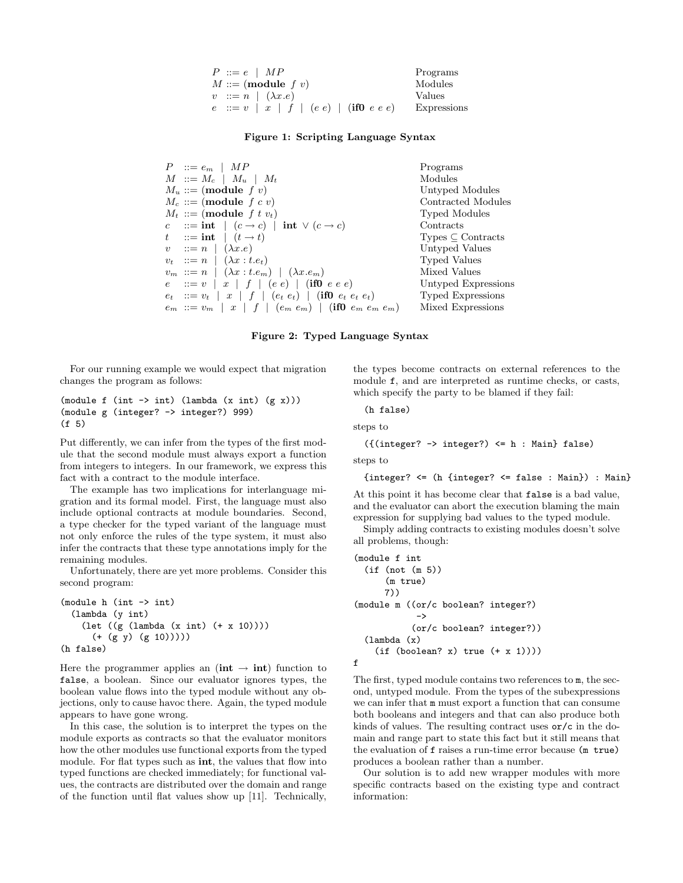| $P ::= e \mid MP$                      | Programs    |
|----------------------------------------|-------------|
| $M ::= (module f v)$                   | Modules     |
| $v ::= n \mid (\lambda x.e)$           | Values      |
| $e := v   x   f   (e e)   (if0 e e e)$ | Expressions |

#### Figure 1: Scripting Language Syntax

| $P \ ::= e_m \mid MP$                                                                 | Programs                 |
|---------------------------------------------------------------------------------------|--------------------------|
| $M \ :: = M_c \mid M_u \mid M_t$                                                      | Modules                  |
| $M_u ::= (module f v)$                                                                | Untyped Modules          |
| $M_c ::= (module \ f \ c \ v)$                                                        | Contracted Modules       |
| $M_t ::= (module \, f \, t \, v_t)$                                                   | Typed Modules            |
| c ::= int $(c \rightarrow c)$ int $\vee$ $(c \rightarrow c)$                          | Contracts                |
| $t$ ::= int $(t \rightarrow t)$                                                       | $Types \subset Contract$ |
| $v := n \mid (\lambda x.e)$                                                           | Untyped Values           |
| $v_t$ : $n \mid (\lambda x : t.e_t)$                                                  | Typed Values             |
| $v_m ::= n \mid (\lambda x : t.e_m) \mid (\lambda x . e_m)$                           | Mixed Values             |
| $e := v   x   f   (e e)   (if 0 e e e)$                                               | Untyped Expressions      |
| $e_t$ : $v_t$   x   f   $(e_t e_t)$   $(i\textbf{f0} e_t e_t e_t)$                    | <b>Typed Expressions</b> |
| $e_m := v_m \mid x \mid f \mid (e_m \, e_m) \mid (\textbf{if0} \, e_m \, e_m \, e_m)$ | Mixed Expressions        |

#### Figure 2: Typed Language Syntax

For our running example we would expect that migration changes the program as follows:

```
(module f (int -> int) (lambda (x int) (g x)))(module g (integer? -> integer?) 999)
(f 5)
```
Put differently, we can infer from the types of the first module that the second module must always export a function from integers to integers. In our framework, we express this fact with a contract to the module interface.

The example has two implications for interlanguage migration and its formal model. First, the language must also include optional contracts at module boundaries. Second, a type checker for the typed variant of the language must not only enforce the rules of the type system, it must also infer the contracts that these type annotations imply for the remaining modules.

Unfortunately, there are yet more problems. Consider this second program:

```
(module h (int -> int)
 (lambda (y int)
    (let ((g (lambda (x int) (+ x 10))))
      (+ (g y) (g 10)))))
(h false)
```
Here the programmer applies an  $(int \rightarrow int)$  function to false, a boolean. Since our evaluator ignores types, the boolean value flows into the typed module without any objections, only to cause havoc there. Again, the typed module appears to have gone wrong.

In this case, the solution is to interpret the types on the module exports as contracts so that the evaluator monitors how the other modules use functional exports from the typed module. For flat types such as **int**, the values that flow into typed functions are checked immediately; for functional values, the contracts are distributed over the domain and range of the function until flat values show up [11]. Technically,

the types become contracts on external references to the module f, and are interpreted as runtime checks, or casts, which specify the party to be blamed if they fail:

(h false)

steps to

```
({integer? -> integer?) \leq h : Main} false)
```
steps to

```
{integer? <= (h {integer? <= false : Main}) : Main}
```
At this point it has become clear that false is a bad value, and the evaluator can abort the execution blaming the main expression for supplying bad values to the typed module.

Simply adding contracts to existing modules doesn't solve all problems, though:

```
(module f int
  (if (not (m 5))
      (m true)
      7))
(module m ((or/c boolean? integer?)
            ->
           (or/c boolean? integer?))
  (lambda (x)
    (if (boolean? x) true (+ x 1))))f
```
The first, typed module contains two references to m, the second, untyped module. From the types of the subexpressions we can infer that m must export a function that can consume both booleans and integers and that can also produce both kinds of values. The resulting contract uses or/c in the domain and range part to state this fact but it still means that the evaluation of f raises a run-time error because (m true) produces a boolean rather than a number.

Our solution is to add new wrapper modules with more specific contracts based on the existing type and contract information: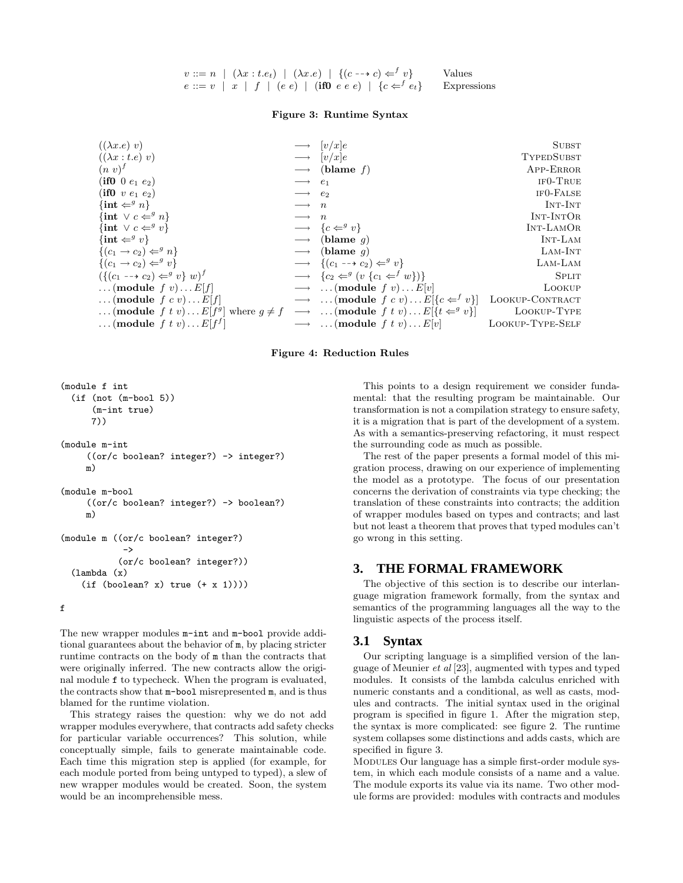| $v ::= n \mid (\lambda x : t.e_t) \mid (\lambda x.e) \mid \{(c \rightarrow c) \in^{f} v\}$ | Values |
|--------------------------------------------------------------------------------------------|--------|
| $e ::= v   x   f   (e e)   (if0 e e e)   \{c \in f e_t\}$ Expressions                      |        |

#### Figure 3: Runtime Syntax

| $((\lambda x.e) v)$                                                                                           |                         | $\longrightarrow$ $[v/x]e$                                                                      | <b>SUBST</b>           |
|---------------------------------------------------------------------------------------------------------------|-------------------------|-------------------------------------------------------------------------------------------------|------------------------|
| $((\lambda x : t.e) v)$                                                                                       |                         | $\longrightarrow$ $ v/x e$                                                                      | TYPEDSUBST             |
| $(n\ v)^{f}$                                                                                                  |                         | $\longrightarrow$ (blame f)                                                                     | APP-ERROR              |
| (if0 0 $e_1 e_2$ )                                                                                            | $\longrightarrow$ $e_1$ |                                                                                                 | $IF0-TRUE$             |
| (if0 v $e_1 e_2$ )                                                                                            | $\longrightarrow e_2$   |                                                                                                 | IF <sub>0</sub> -FALSE |
| $\{\mathbf{int} \Leftarrow^g n\}$                                                                             | $\longrightarrow$ n     |                                                                                                 | INT-INT                |
| $\{\text{int} \vee c \Leftarrow^g n\}$                                                                        | $\longrightarrow$ n     |                                                                                                 | INT-INTOR              |
| $\{int \vee c \Leftarrow^g v\}$                                                                               |                         | $\longrightarrow \{c \Leftarrow^g v\}$                                                          | INT-LAMOR              |
| $\{\mathbf{int} \Leftarrow^g v\}$                                                                             |                         | $\longrightarrow$ (blame q)                                                                     | INT-LAM                |
| $\{(c_1 \rightarrow c_2) \Leftarrow^g n\}$                                                                    |                         | $\longrightarrow$ (blame q)                                                                     | LAM-INT                |
| $\{(c_1 \rightarrow c_2) \Leftarrow^g v\}$                                                                    |                         | $\longrightarrow$ $\{(c_1 \rightarrow c_2) \Leftarrow^g v\}$                                    | LAM-LAM                |
| $(\{(c_1 \rightarrow c_2) \Leftarrow^g v\} w)^{J}$                                                            |                         | $\longrightarrow \{c_2 \Leftarrow^g (v \{c_1 \Leftarrow^f w\})\}$                               | <b>SPLIT</b>           |
| (module $f(v) \dots E[f]$                                                                                     |                         | $\longrightarrow \dots$ (module f v) $E[v]$                                                     | LOOKUP                 |
| (module $f c v$ ) $E[f]$                                                                                      |                         | $\longrightarrow \dots$ (module $f c v$ ) $E[\lbrace c \leftarrow^f v \rbrace]$ LOOKUP-CONTRACT |                        |
| (module f t v) $E[f^g]$ where $g \neq f \longrightarrow$ (module f t v) $E[\lbrace t \leftarrow^g v \rbrace]$ |                         |                                                                                                 | LOOKUP-TYPE            |
| $\dots$ (module f t v) $\dots E[f^J]$                                                                         |                         | $\longrightarrow \dots$ (module f t v) $E[v]$                                                   | LOOKUP-TYPE-SELF       |

#### Figure 4: Reduction Rules

```
(module f int
 (if (not (m-bool 5))
      (m-int true)
      7))
(module m-int
     ((or/c boolean? integer?) -> integer?)
    m)
(module m-bool
     ((or/c boolean? integer?) -> boolean?)
     m)
(module m ((or/c boolean? integer?)
            ->
           (or/c boolean? integer?))
 (lambda (x)
    (if (boolean? x) true (+ x 1))))
```
f

The new wrapper modules  $m$ -int and  $m$ -bool provide additional guarantees about the behavior of m, by placing stricter runtime contracts on the body of m than the contracts that were originally inferred. The new contracts allow the original module f to typecheck. When the program is evaluated, the contracts show that m-bool misrepresented m, and is thus blamed for the runtime violation.

This strategy raises the question: why we do not add wrapper modules everywhere, that contracts add safety checks for particular variable occurrences? This solution, while conceptually simple, fails to generate maintainable code. Each time this migration step is applied (for example, for each module ported from being untyped to typed), a slew of new wrapper modules would be created. Soon, the system would be an incomprehensible mess.

This points to a design requirement we consider fundamental: that the resulting program be maintainable. Our transformation is not a compilation strategy to ensure safety, it is a migration that is part of the development of a system. As with a semantics-preserving refactoring, it must respect the surrounding code as much as possible.

The rest of the paper presents a formal model of this migration process, drawing on our experience of implementing the model as a prototype. The focus of our presentation concerns the derivation of constraints via type checking; the translation of these constraints into contracts; the addition of wrapper modules based on types and contracts; and last but not least a theorem that proves that typed modules can't go wrong in this setting.

## **3. THE FORMAL FRAMEWORK**

The objective of this section is to describe our interlanguage migration framework formally, from the syntax and semantics of the programming languages all the way to the linguistic aspects of the process itself.

## **3.1 Syntax**

Our scripting language is a simplified version of the language of Meunier et al [23], augmented with types and typed modules. It consists of the lambda calculus enriched with numeric constants and a conditional, as well as casts, modules and contracts. The initial syntax used in the original program is specified in figure 1. After the migration step, the syntax is more complicated: see figure 2. The runtime system collapses some distinctions and adds casts, which are specified in figure 3.

MODULES Our language has a simple first-order module system, in which each module consists of a name and a value. The module exports its value via its name. Two other module forms are provided: modules with contracts and modules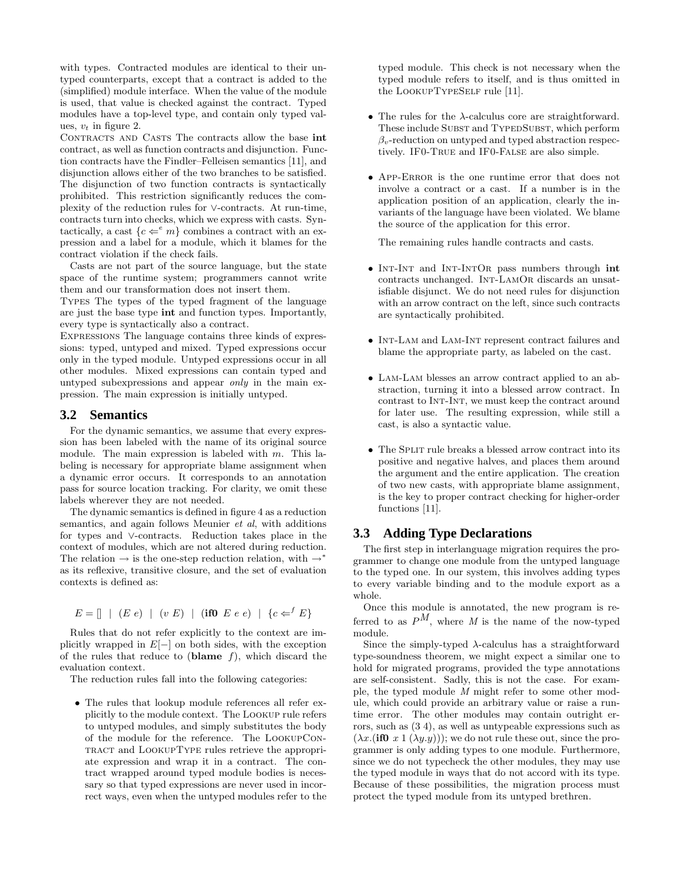with types. Contracted modules are identical to their untyped counterparts, except that a contract is added to the (simplified) module interface. When the value of the module is used, that value is checked against the contract. Typed modules have a top-level type, and contain only typed values,  $v_t$  in figure 2.

CONTRACTS AND CASTS The contracts allow the base int contract, as well as function contracts and disjunction. Function contracts have the Findler–Felleisen semantics [11], and disjunction allows either of the two branches to be satisfied. The disjunction of two function contracts is syntactically prohibited. This restriction significantly reduces the complexity of the reduction rules for ∨-contracts. At run-time, contracts turn into checks, which we express with casts. Syntactically, a cast  $\{c \leftarrow^e m\}$  combines a contract with an expression and a label for a module, which it blames for the contract violation if the check fails.

Casts are not part of the source language, but the state space of the runtime system; programmers cannot write them and our transformation does not insert them.

Types The types of the typed fragment of the language are just the base type int and function types. Importantly, every type is syntactically also a contract.

Expressions The language contains three kinds of expressions: typed, untyped and mixed. Typed expressions occur only in the typed module. Untyped expressions occur in all other modules. Mixed expressions can contain typed and untyped subexpressions and appear only in the main expression. The main expression is initially untyped.

## **3.2 Semantics**

For the dynamic semantics, we assume that every expression has been labeled with the name of its original source module. The main expression is labeled with  $m$ . This labeling is necessary for appropriate blame assignment when a dynamic error occurs. It corresponds to an annotation pass for source location tracking. For clarity, we omit these labels wherever they are not needed.

The dynamic semantics is defined in figure 4 as a reduction semantics, and again follows Meunier *et al*, with additions for types and ∨-contracts. Reduction takes place in the context of modules, which are not altered during reduction. The relation  $\rightarrow$  is the one-step reduction relation, with  $\rightarrow^*$ as its reflexive, transitive closure, and the set of evaluation contexts is defined as:

$$
E = \lceil \mid (E \ e) \mid (v \ E) \mid (\textbf{if} \ 0 \ E \ e \ e) \mid \{c \Leftarrow^{f} E\}
$$

Rules that do not refer explicitly to the context are implicitly wrapped in  $E[-]$  on both sides, with the exception of the rules that reduce to (blame  $f$ ), which discard the evaluation context.

The reduction rules fall into the following categories:

• The rules that lookup module references all refer explicitly to the module context. The Lookup rule refers to untyped modules, and simply substitutes the body of the module for the reference. The LookupContract and LookupType rules retrieve the appropriate expression and wrap it in a contract. The contract wrapped around typed module bodies is necessary so that typed expressions are never used in incorrect ways, even when the untyped modules refer to the typed module. This check is not necessary when the typed module refers to itself, and is thus omitted in the LookupTypeSelf rule [11].

- The rules for the  $\lambda$ -calculus core are straightforward. These include SUBST and TYPEDSUBST, which perform  $\beta_v$ -reduction on untyped and typed abstraction respectively. IF0-True and IF0-False are also simple.
- App-Error is the one runtime error that does not involve a contract or a cast. If a number is in the application position of an application, clearly the invariants of the language have been violated. We blame the source of the application for this error.

The remaining rules handle contracts and casts.

- INT-INT and INT-INTOR pass numbers through int contracts unchanged. Int-LamOr discards an unsatisfiable disjunct. We do not need rules for disjunction with an arrow contract on the left, since such contracts are syntactically prohibited.
- INT-LAM and LAM-INT represent contract failures and blame the appropriate party, as labeled on the cast.
- Lam-Lam blesses an arrow contract applied to an abstraction, turning it into a blessed arrow contract. In contrast to Int-Int, we must keep the contract around for later use. The resulting expression, while still a cast, is also a syntactic value.
- The SPLIT rule breaks a blessed arrow contract into its positive and negative halves, and places them around the argument and the entire application. The creation of two new casts, with appropriate blame assignment, is the key to proper contract checking for higher-order functions [11].

## **3.3 Adding Type Declarations**

The first step in interlanguage migration requires the programmer to change one module from the untyped language to the typed one. In our system, this involves adding types to every variable binding and to the module export as a whole.

Once this module is annotated, the new program is referred to as  $P^M$ , where M is the name of the now-typed module.

Since the simply-typed  $\lambda$ -calculus has a straightforward type-soundness theorem, we might expect a similar one to hold for migrated programs, provided the type annotations are self-consistent. Sadly, this is not the case. For example, the typed module M might refer to some other module, which could provide an arbitrary value or raise a runtime error. The other modules may contain outright errors, such as (3 4), as well as untypeable expressions such as  $(\lambda x.(\textbf{if0} \ x 1 (\lambda y. y))))$ ; we do not rule these out, since the programmer is only adding types to one module. Furthermore, since we do not typecheck the other modules, they may use the typed module in ways that do not accord with its type. Because of these possibilities, the migration process must protect the typed module from its untyped brethren.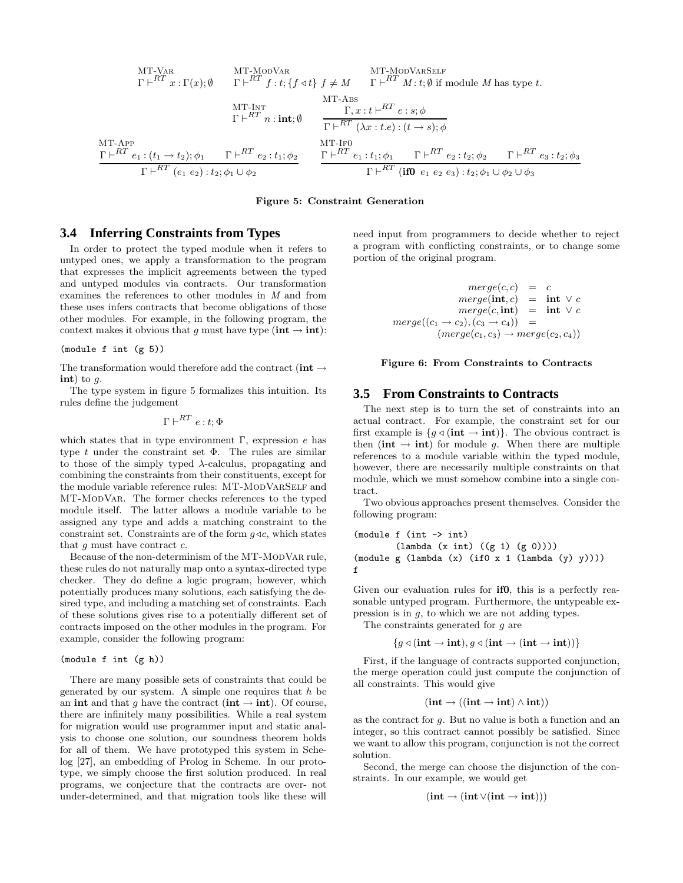MT-VAR  
\n
$$
\Gamma \vdash^{RT} x : \Gamma(x); \emptyset
$$
  $\Gamma \vdash^{RT} f : t; \{f \triangleleft t\} f \neq M$   $\Gamma \vdash^{RT} M : t; \emptyset$  if module M has type t.  
\nMT-APP  
\n $\Gamma \vdash^{RT} x : (t_1 \rightarrow t_2); \phi_1$   $\Gamma \vdash^{RT} e_2 : t_1; \phi_2$   $\Gamma \vdash^{RT} e_1 : t_2 \phi_1$   
\n $\Gamma \vdash^{RT} e_2 : t_1; \phi_2$   $\Gamma \vdash^{RT} e_1 : t_2 \phi_1$   
\n $\Gamma \vdash^{RT} e_1 : t_2 \phi_1$   $\Gamma \vdash^{RT} e_2 : t_1; \phi_2$   $\Gamma \vdash^{RT} e_1 : t_2 \phi_1$   $\Gamma \vdash^{RT} e_2 : t_2; \phi_1 \cup \phi_2$   
\n $\Gamma \vdash^{RT} (f0) e_1 e_2 e_3) : t_2; \phi_1 \cup \phi_2 \cup \phi_3$ 

Figure 5: Constraint Generation

## **3.4 Inferring Constraints from Types**

In order to protect the typed module when it refers to untyped ones, we apply a transformation to the program that expresses the implicit agreements between the typed and untyped modules via contracts. Our transformation examines the references to other modules in M and from these uses infers contracts that become obligations of those other modules. For example, in the following program, the context makes it obvious that g must have type ( $\text{int} \rightarrow \text{int}$ ):

#### (module f int (g 5))

The transformation would therefore add the contract (int  $\rightarrow$ int) to  $q$ .

The type system in figure 5 formalizes this intuition. Its rules define the judgement

 $\Gamma\vdash^{RT} e:t; Φ$ 

which states that in type environment  $\Gamma$ , expression  $e$  has type t under the constraint set  $\Phi$ . The rules are similar to those of the simply typed  $\lambda$ -calculus, propagating and combining the constraints from their constituents, except for the module variable reference rules: MT-MODVARSELF and MT-ModVar. The former checks references to the typed module itself. The latter allows a module variable to be assigned any type and adds a matching constraint to the constraint set. Constraints are of the form  $g \triangleleft c$ , which states that  $q$  must have contract  $c$ .

Because of the non-determinism of the MT-MODVAR rule, these rules do not naturally map onto a syntax-directed type checker. They do define a logic program, however, which potentially produces many solutions, each satisfying the desired type, and including a matching set of constraints. Each of these solutions gives rise to a potentially different set of contracts imposed on the other modules in the program. For example, consider the following program:

#### (module f int (g h))

There are many possible sets of constraints that could be generated by our system. A simple one requires that  $h$  be an int and that q have the contract (int  $\rightarrow$  int). Of course, there are infinitely many possibilities. While a real system for migration would use programmer input and static analysis to choose one solution, our soundness theorem holds for all of them. We have prototyped this system in Schelog [27], an embedding of Prolog in Scheme. In our prototype, we simply choose the first solution produced. In real programs, we conjecture that the contracts are over- not under-determined, and that migration tools like these will need input from programmers to decide whether to reject a program with conflicting constraints, or to change some portion of the original program.

$$
merge(c, c) = c
$$
  
\n
$$
merge(\text{int}, c) = \text{int} \lor c
$$
  
\n
$$
merge(c, \text{int}) = \text{int} \lor c
$$
  
\n
$$
merge((c_1 \rightarrow c_2), (c_3 \rightarrow c_4)) = (merge(c_1, c_3) \rightarrow merge(c_2, c_4))
$$

#### Figure 6: From Constraints to Contracts

#### **3.5 From Constraints to Contracts**

The next step is to turn the set of constraints into an actual contract. For example, the constraint set for our first example is  ${g \triangleleft ( \text{int} \rightarrow \text{int}) }$ . The obvious contract is then (int  $\rightarrow$  int) for module q. When there are multiple references to a module variable within the typed module, however, there are necessarily multiple constraints on that module, which we must somehow combine into a single contract.

Two obvious approaches present themselves. Consider the following program:

(module f (int -> int) (lambda (x int) ((g 1) (g 0)))) (module g (lambda (x) (if0 x 1 (lambda (y) y)))) f

Given our evaluation rules for **if0**, this is a perfectly reasonable untyped program. Furthermore, the untypeable expression is in g, to which we are not adding types.

The constraints generated for g are

 ${g \triangleleft ( \text{int} \rightarrow \text{int}), g \triangleleft ( \text{int} \rightarrow \text{int}) }$ 

First, if the language of contracts supported conjunction, the merge operation could just compute the conjunction of all constraints. This would give

$$
(\textbf{int} \rightarrow ((\textbf{int} \rightarrow \textbf{int}) \land \textbf{int}))
$$

as the contract for g. But no value is both a function and an integer, so this contract cannot possibly be satisfied. Since we want to allow this program, conjunction is not the correct solution.

Second, the merge can choose the disjunction of the constraints. In our example, we would get

$$
(\mathbf{int} \to (\mathbf{int} \vee (\mathbf{int} \to \mathbf{int})))
$$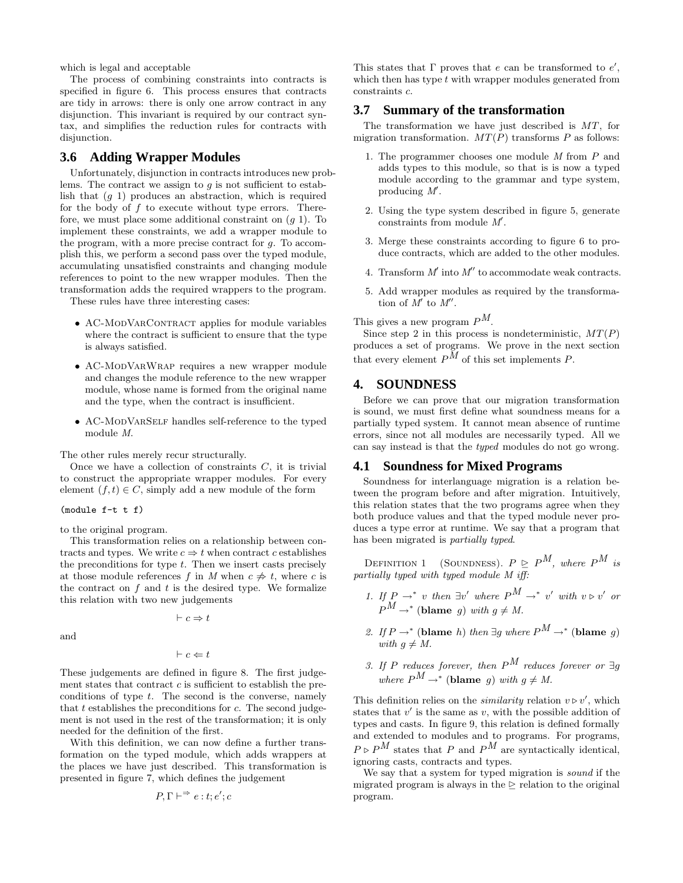which is legal and acceptable

The process of combining constraints into contracts is specified in figure 6. This process ensures that contracts are tidy in arrows: there is only one arrow contract in any disjunction. This invariant is required by our contract syntax, and simplifies the reduction rules for contracts with disjunction.

## **3.6 Adding Wrapper Modules**

Unfortunately, disjunction in contracts introduces new problems. The contract we assign to  $g$  is not sufficient to establish that (g 1) produces an abstraction, which is required for the body of  $f$  to execute without type errors. Therefore, we must place some additional constraint on  $(q 1)$ . To implement these constraints, we add a wrapper module to the program, with a more precise contract for g. To accomplish this, we perform a second pass over the typed module, accumulating unsatisfied constraints and changing module references to point to the new wrapper modules. Then the transformation adds the required wrappers to the program.

These rules have three interesting cases:

- AC-MODVARCONTRACT applies for module variables where the contract is sufficient to ensure that the type is always satisfied.
- AC-ModVarWrap requires a new wrapper module and changes the module reference to the new wrapper module, whose name is formed from the original name and the type, when the contract is insufficient.
- AC-MODVARSELF handles self-reference to the typed module M.

The other rules merely recur structurally.

Once we have a collection of constraints  $C$ , it is trivial to construct the appropriate wrapper modules. For every element  $(f, t) \in C$ , simply add a new module of the form

(module f-t t f)

to the original program.

This transformation relies on a relationship between contracts and types. We write  $c \Rightarrow t$  when contract c establishes the preconditions for type  $t$ . Then we insert casts precisely at those module references f in M when  $c \neq t$ , where c is the contract on  $f$  and  $t$  is the desired type. We formalize this relation with two new judgements

 $\vdash c \Rightarrow t$ 

and

$$
\vdash c \Leftarrow t
$$

These judgements are defined in figure 8. The first judgement states that contract c is sufficient to establish the preconditions of type  $t$ . The second is the converse, namely that t establishes the preconditions for  $c$ . The second judgement is not used in the rest of the transformation; it is only needed for the definition of the first.

With this definition, we can now define a further transformation on the typed module, which adds wrappers at the places we have just described. This transformation is presented in figure 7, which defines the judgement

$$
P, \Gamma \vdash^{\Rightarrow} e:t; e'; c
$$

This states that  $\Gamma$  proves that  $e$  can be transformed to  $e'$ , which then has type  $t$  with wrapper modules generated from constraints c.

#### **3.7 Summary of the transformation**

The transformation we have just described is MT, for migration transformation.  $MT(P)$  transforms P as follows:

- 1. The programmer chooses one module M from P and adds types to this module, so that is is now a typed module according to the grammar and type system, producing  $M'$ .
- 2. Using the type system described in figure 5, generate constraints from module M′ .
- 3. Merge these constraints according to figure 6 to produce contracts, which are added to the other modules.
- 4. Transform  $M'$  into  $M''$  to accommodate weak contracts.
- 5. Add wrapper modules as required by the transformation of  $\overline{M}'$  to  $M''$ .

This gives a new program  $P^M$ .

Since step 2 in this process is nondeterministic,  $MT(P)$ produces a set of programs. We prove in the next section that every element  $P^{\tilde{M}}$  of this set implements P.

## **4. SOUNDNESS**

Before we can prove that our migration transformation is sound, we must first define what soundness means for a partially typed system. It cannot mean absence of runtime errors, since not all modules are necessarily typed. All we can say instead is that the typed modules do not go wrong.

## **4.1 Soundness for Mixed Programs**

Soundness for interlanguage migration is a relation between the program before and after migration. Intuitively, this relation states that the two programs agree when they both produce values and that the typed module never produces a type error at runtime. We say that a program that has been migrated is partially typed.

DEFINITION 1 (SOUNDNESS).  $P \ge P^M$ , where  $P^M$  is partially typed with typed module M iff:

- 1. If  $P \rightarrow^* v$  then  $\exists v'$  where  $P^M \rightarrow^* v'$  with  $v \triangleright v'$  or  $P^{\tilde{M}} \to^*$  (blame g) with  $g \neq M$ .
- 2. If  $P \rightarrow^*$  (blame h) then  $\exists g$  where  $P^M \rightarrow^*$  (blame g) with  $q \neq M$ .
- 3. If P reduces forever, then  $P^M$  reduces forever or  $\exists q$ where  $P^M \to^*$  (blame g) with  $g \neq M$ .

This definition relies on the *similarity* relation  $v \triangleright v'$ , which states that  $v'$  is the same as  $v$ , with the possible addition of types and casts. In figure 9, this relation is defined formally and extended to modules and to programs. For programs,  $P \triangleright P^M$  states that P and  $P^M$  are syntactically identical, ignoring casts, contracts and types.

We say that a system for typed migration is sound if the migrated program is always in the  $\geq$  relation to the original program.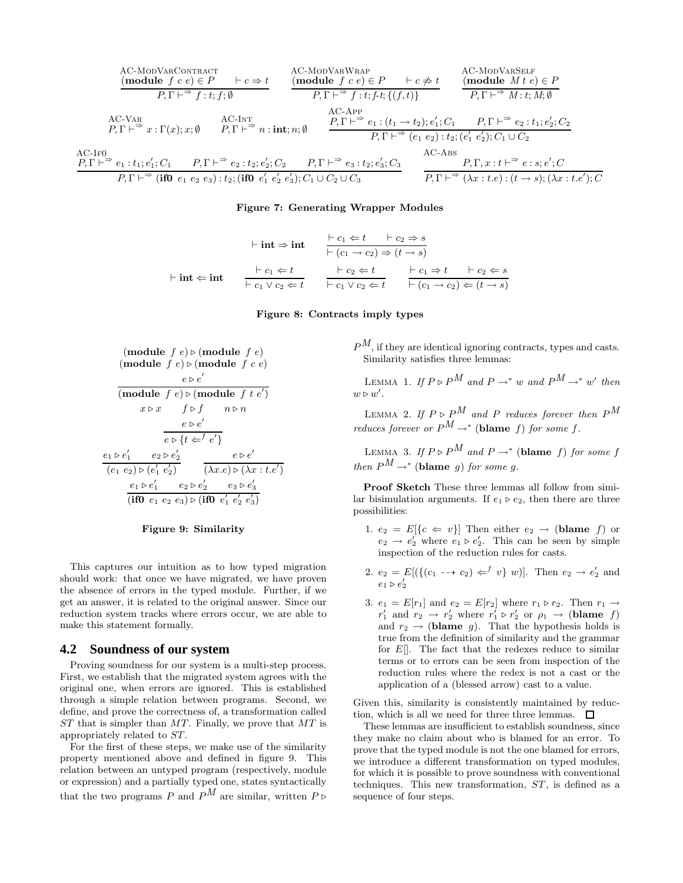AC-ModVarContract (module f c e) ∈ P ⊢ c ⇒ t P, Γ ⊢ <sup>⇒</sup> f : t; f; ∅ AC-ModVarWrap (module f c e) ∈ P ⊢ c 6⇒ t P, Γ ⊢ <sup>⇒</sup> f : t; f-t; {(f, t)} AC-ModVarSelf (module M t e) ∈ P P, Γ ⊢ <sup>⇒</sup> M : t; M; ∅ AC-Var P, Γ ⊢ <sup>⇒</sup> x : Γ(x); x; ∅ AC-Int P, Γ ⊢ <sup>⇒</sup> n : int; n; ∅ AC-App P, Γ ⊢ <sup>⇒</sup> e<sup>1</sup> : (t<sup>1</sup> → t2); e ′ <sup>1</sup>; C<sup>1</sup> P, Γ ⊢ <sup>⇒</sup> e<sup>2</sup> : t1; e ′ <sup>2</sup>; C<sup>2</sup> P, Γ ⊢ <sup>⇒</sup> (e<sup>1</sup> e2) : t2; (e ′ <sup>1</sup> e ′ <sup>2</sup>); C<sup>1</sup> ∪ C<sup>2</sup> AC-If0 P, Γ ⊢ <sup>⇒</sup> e<sup>1</sup> : t1; e ′ <sup>1</sup>; C<sup>1</sup> P, Γ ⊢ <sup>⇒</sup> e<sup>2</sup> : t2; e ′ <sup>2</sup>; C<sup>2</sup> P, Γ ⊢ <sup>⇒</sup> e<sup>3</sup> : t2; e ′ <sup>3</sup>; C<sup>3</sup> P, Γ ⊢ <sup>⇒</sup> (if0 e<sup>1</sup> e<sup>2</sup> e3) : t2; (if0 e ′ <sup>1</sup> e ′ <sup>2</sup> e ′ <sup>3</sup>); C<sup>1</sup> ∪ C<sup>2</sup> ∪ C<sup>3</sup> AC-Abs P, Γ, x : t ⊢ <sup>⇒</sup> e : s; e ′ ; C P, Γ ⊢ <sup>⇒</sup> (λx : t.e) : (t → s); (λx : t.e′ ); C

#### Figure 7: Generating Wrapper Modules

$$
\vdash \text{int} \Rightarrow \text{int} \qquad \frac{\vdash c_1 \Leftarrow t \qquad \vdash c_2 \Rightarrow s}{\vdash (c_1 \rightarrow c_2) \Rightarrow (t \rightarrow s)}
$$
\n
$$
\vdash \text{int} \Leftarrow \text{int} \qquad \frac{\vdash c_1 \Leftarrow t}{\vdash c_1 \lor c_2 \Leftarrow t} \qquad \frac{\vdash c_2 \Leftarrow t}{\vdash c_1 \lor c_2 \Leftarrow t} \qquad \frac{\vdash c_1 \Rightarrow t \qquad \vdash c_2 \Leftarrow s}{\vdash (c_1 \rightarrow c_2) \Leftarrow (t \rightarrow s)}
$$

#### Figure 8: Contracts imply types





This captures our intuition as to how typed migration should work: that once we have migrated, we have proven the absence of errors in the typed module. Further, if we get an answer, it is related to the original answer. Since our reduction system tracks where errors occur, we are able to make this statement formally.

#### **4.2 Soundness of our system**

Proving soundness for our system is a multi-step process. First, we establish that the migrated system agrees with the original one, when errors are ignored. This is established through a simple relation between programs. Second, we define, and prove the correctness of, a transformation called  $ST$  that is simpler than  $MT$ . Finally, we prove that  $MT$  is appropriately related to ST.

For the first of these steps, we make use of the similarity property mentioned above and defined in figure 9. This relation between an untyped program (respectively, module or expression) and a partially typed one, states syntactically that the two programs P and  $P^M$  are similar, written P ⊳  $P^M$ , if they are identical ignoring contracts, types and casts. Similarity satisfies three lemmas:

LEMMA 1. If  $P \triangleright P^M$  and  $P \rightarrow^* w$  and  $P^M \rightarrow^* w'$  then  $w \triangleright w'.$ 

LEMMA 2. If  $P \triangleright P^M$  and P reduces forever then  $P^M$ reduces forever or  $P^M \to^*$  (blame f) for some f.

LEMMA 3. If  $P \triangleright P^M$  and  $P \rightarrow^*$  (blame f) for some f then  $P^M \rightarrow^*$  (blame g) for some g.

Proof Sketch These three lemmas all follow from similar bisimulation arguments. If  $e_1 \triangleright e_2$ , then there are three possibilities:

- 1.  $e_2 = E[\lbrace c \Leftarrow v \rbrace]$  Then either  $e_2 \rightarrow$  (blame f) or  $e_2 \rightarrow e'_2$  where  $e_1 \triangleright e'_2$ . This can be seen by simple inspection of the reduction rules for casts.
- 2.  $e_2 = E[(\{(c_1 \rightarrow c_2) \Leftarrow^f v\} w)]$ . Then  $e_2 \rightarrow e'_2$  and  $e_1 \triangleright e'_2$
- 3.  $e_1 = E[r_1]$  and  $e_2 = E[r_2]$  where  $r_1 \triangleright r_2$ . Then  $r_1 \rightarrow$  $r'_1$  and  $r_2 \rightarrow r'_2$  where  $r'_1 \triangleright r'_2$  or  $\rho_1 \rightarrow$  (blame f) and  $r_2 \rightarrow$  (blame g). That the hypothesis holds is true from the definition of similarity and the grammar for  $E[$ . The fact that the redexes reduce to similar terms or to errors can be seen from inspection of the reduction rules where the redex is not a cast or the application of a (blessed arrow) cast to a value.

Given this, similarity is consistently maintained by reduction, which is all we need for three three lemmas.  $\square$ 

These lemmas are insufficient to establish soundness, since they make no claim about who is blamed for an error. To prove that the typed module is not the one blamed for errors, we introduce a different transformation on typed modules, for which it is possible to prove soundness with conventional techniques. This new transformation, ST, is defined as a sequence of four steps.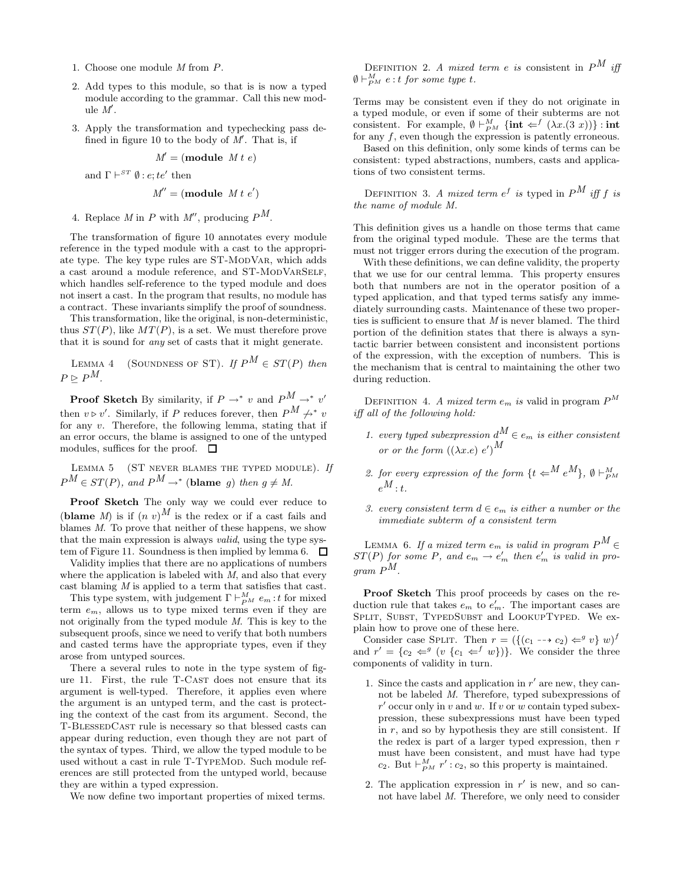- 1. Choose one module M from P.
- 2. Add types to this module, so that is is now a typed module according to the grammar. Call this new module  $M'$ .
- 3. Apply the transformation and typechecking pass defined in figure 10 to the body of  $M'$ . That is, if

$$
M' = (\text{module } M \, t \, e)
$$

and  $\Gamma \vdash^{ST} \emptyset : e; te'$  then

$$
M'' = (\text{module } M t e')
$$

4. Replace M in P with M'', producing  $P^M$ .

The transformation of figure 10 annotates every module reference in the typed module with a cast to the appropriate type. The key type rules are ST-ModVar, which adds a cast around a module reference, and ST-MODVARSELF, which handles self-reference to the typed module and does not insert a cast. In the program that results, no module has a contract. These invariants simplify the proof of soundness.

This transformation, like the original, is non-deterministic, thus  $ST(P)$ , like  $MT(P)$ , is a set. We must therefore prove that it is sound for any set of casts that it might generate.

LEMMA 4 (SOUNDNESS OF ST). If  $P^M \in ST(P)$  then  $P \triangleright P^M$ .

**Proof Sketch** By similarity, if  $P \rightarrow^* v$  and  $P^M \rightarrow^* v'$ then  $v \triangleright v'$ . Similarly, if P reduces forever, then  $P^M \nrightarrow^* v$ for any  $v$ . Therefore, the following lemma, stating that if an error occurs, the blame is assigned to one of the untyped modules, suffices for the proof.  $\square$ 

LEMMA 5 (ST NEVER BLAMES THE TYPED MODULE). If  $P^{M} \in ST(P)$ , and  $P^{M} \rightarrow^*$  (blame g) then  $g \neq M$ .

Proof Sketch The only way we could ever reduce to (blame M) is if  $(n \ v)^M$  is the redex or if a cast fails and blames M. To prove that neither of these happens, we show that the main expression is always valid, using the type system of Figure 11. Soundness is then implied by lemma 6.  $\Box$ 

Validity implies that there are no applications of numbers where the application is labeled with  $M$ , and also that every cast blaming  $M$  is applied to a term that satisfies that cast.

This type system, with judgement  $\Gamma \vdash_{PM}^M e_m : t$  for mixed term  $e_m$ , allows us to type mixed terms even if they are not originally from the typed module M. This is key to the subsequent proofs, since we need to verify that both numbers and casted terms have the appropriate types, even if they arose from untyped sources.

There a several rules to note in the type system of figure 11. First, the rule T-CAST does not ensure that its argument is well-typed. Therefore, it applies even where the argument is an untyped term, and the cast is protecting the context of the cast from its argument. Second, the T-BlessedCast rule is necessary so that blessed casts can appear during reduction, even though they are not part of the syntax of types. Third, we allow the typed module to be used without a cast in rule T-TYPEMOD. Such module references are still protected from the untyped world, because they are within a typed expression.

We now define two important properties of mixed terms.

DEFINITION 2. A mixed term e is consistent in  $P^M$  iff  $\emptyset \vdash_{P^M}^M e:t$  for some type t.

Terms may be consistent even if they do not originate in a typed module, or even if some of their subterms are not consistent. For example,  $\emptyset \vdash_{PM}^M \{\textbf{int} \Leftarrow^f (\lambda x.((3 x))\} : \textbf{int}$ for any  $f$ , even though the expression is patently erroneous.

Based on this definition, only some kinds of terms can be consistent: typed abstractions, numbers, casts and applications of two consistent terms.

DEFINITION 3. A mixed term  $e^f$  is typed in  $P^M$  iff  $f$  is the name of module M.

This definition gives us a handle on those terms that came from the original typed module. These are the terms that must not trigger errors during the execution of the program.

With these definitions, we can define validity, the property that we use for our central lemma. This property ensures both that numbers are not in the operator position of a typed application, and that typed terms satisfy any immediately surrounding casts. Maintenance of these two properties is sufficient to ensure that M is never blamed. The third portion of the definition states that there is always a syntactic barrier between consistent and inconsistent portions of the expression, with the exception of numbers. This is the mechanism that is central to maintaining the other two during reduction.

DEFINITION 4. A mixed term  $e_m$  is valid in program  $P^M$ iff all of the following hold:

- 1. every typed subexpression  $d^M \in e_m$  is either consistent or or the form  $((\lambda x.e) e')^M$
- 2. for every expression of the form  $\{t \in^M e^M\}$ ,  $\emptyset \vdash^M_{P^M}$  $_{e}M$ .
- 3. every consistent term  $d \in e_m$  is either a number or the immediate subterm of a consistent term

LEMMA 6. If a mixed term  $e_m$  is valid in program  $P^M \in$  $ST(P)$  for some P, and  $e_m \to e'_m$  then  $e'_m$  is valid in pro $gram P^M$ 

Proof Sketch This proof proceeds by cases on the reduction rule that takes  $e_m$  to  $e'_m$ . The important cases are SPLIT, SUBST, TYPEDSUBST and LOOKUPTYPED. We explain how to prove one of these here.

Consider case SPLIT. Then  $r = (\{(c_1 -\rightarrow c_2) \Leftarrow^g v\} w)^f$ and  $r' = \{c_2 \Leftarrow^g (v \{c_1 \Leftarrow^f w\})\}$ . We consider the three components of validity in turn.

- 1. Since the casts and application in  $r'$  are new, they cannot be labeled M. Therefore, typed subexpressions of  $r'$  occur only in v and w. If v or w contain typed subexpression, these subexpressions must have been typed in  $r$ , and so by hypothesis they are still consistent. If the redex is part of a larger typed expression, then  $r$ must have been consistent, and must have had type c<sub>2</sub>. But  $\vdash_{PM}^M r'$  : c<sub>2</sub>, so this property is maintained.
- 2. The application expression in  $r'$  is new, and so cannot have label M. Therefore, we only need to consider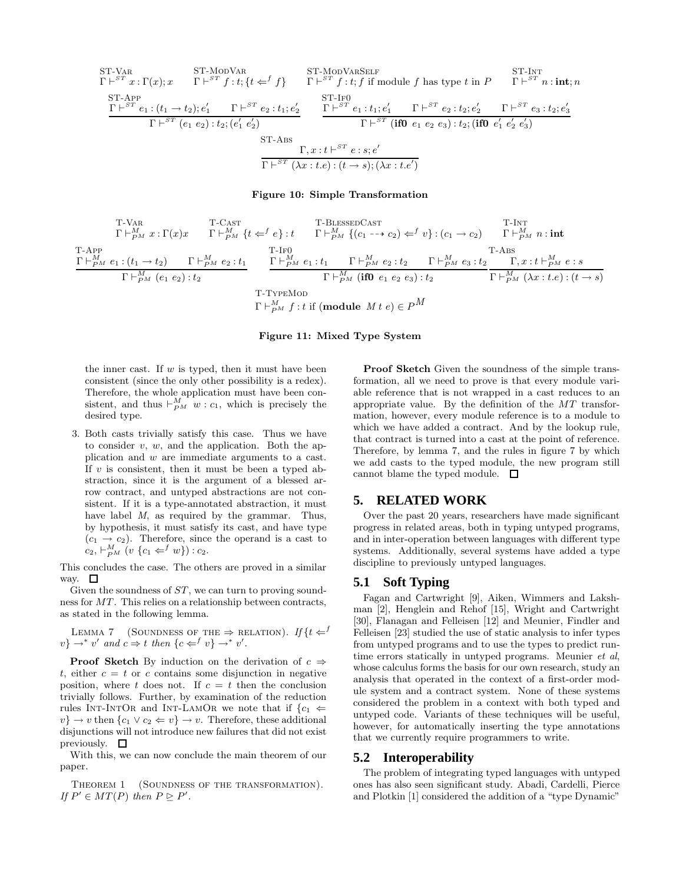ST-VAR  
\n
$$
\Gamma \vdash^{ST} x : \Gamma(x); x
$$
\n
$$
\Gamma \vdash^{ST} f : t; \{t \Leftarrow^{f} f\}
$$
\n
$$
\Gamma \vdash^{ST} f : t; \{i \text{ if module } f \text{ has type } t \text{ in } P
$$
\n
$$
\begin{array}{ccc}\n\text{ST-} \text{Intr} \\
\text{ST-} \text{Intr} \\
\text{ST-} \text{Intr} \\
\text{ST-} \text{Intr} \\
\text{ST-} \text{Intr} \\
\text{ST-} \text{Intr} \\
\text{ST-} \text{Intr} \\
\text{ST-} \text{Intr} \\
\text{ST-} \text{Intr} \\
\text{ST-} \text{Intr} \\
\text{ST-} \text{Intr} \\
\text{ST-} \text{Intr} \\
\text{ST-} \text{Intr} \\
\text{ST-} \text{Intr} \\
\text{ST-} \text{Intr} \\
\text{ST-} \text{Intr} \\
\text{ST-} \text{Intr} \\
\text{ST-} \text{Intr} \\
\text{ST-} \text{Intr} \\
\text{ST-} \text{Intr} \\
\text{ST-} \text{Intr} \\
\text{ST-} \text{Intr} \\
\text{ST-} \text{Intr} \\
\text{ST-} \text{Intr} \\
\text{ST-} \text{Intr} \\
\text{ST-} \text{Intr} \\
\text{ST-} \text{Intr} \\
\text{ST-} \text{Intr} \\
\text{ST-} \text{Intr} \\
\text{ST-} \text{Intr} \\
\text{ST-} \text{Intr} \\
\text{ST-} \text{Intr} \\
\text{ST-} \text{Intr} \\
\text{ST-} \text{Intr} \\
\text{ST-} \text{Intr} \\
\text{ST-} \text{Intr} \\
\text{ST-} \text{Intr} \\
\text{ST-} \text{Intr} \\
\text{ST-} \text{Intr} \\
\text{ST-} \text{Intr} \\
\text{ST-} \text{Intr} \\
\text{ST-} \text{Intr} \\
\text{ST-} \text{Intr} \\
\text{ST-} \text{Intr} \\
\text{ST-} \text{Intr} \\
\text{ST-} \text{Intr} \\
\text{ST-} \text{Intr} \\
\text{ST-} \text{Intr} \\
\text{ST-} \text{Intr} \\
\text{ST-} \text{
$$

#### Figure 10: Simple Transformation

T-VAR  
\n
$$
\Gamma \vdash_{PM}^M x : \Gamma(x)x
$$
\n
$$
\Gamma \vdash_{PM}^M \{t \Leftarrow^f e\} : t
$$
\n
$$
\Gamma \vdash_{PM}^M \{(c_1 \to c_2) \Leftarrow^f v\} : (c_1 \to c_2)
$$
\n
$$
\Gamma \vdash_{PM}^M n : \text{int}
$$
\n
$$
\Gamma \vdash_{PM}^M e_1 : (t_1 \to t_2)
$$
\n
$$
\Gamma \vdash_{PM}^M e_2 : t_1
$$
\n
$$
\Gamma \vdash_{PM}^M e_1 : t_1
$$
\n
$$
\Gamma \vdash_{PM}^M e_2 : t_2
$$
\n
$$
\Gamma \vdash_{PM}^M \{ \text{if } 0 \in t_1 e_2 \text{ is } t_2 \text{ if } t_1 \in \mathbb{N} \}
$$
\n
$$
\Gamma \vdash_{PM}^M \{ \text{if } 0 \in t_1 e_2 \text{ is } t_2 \text{ if } t_1 \in \mathbb{N} \}
$$
\n
$$
\Gamma \vdash_{PM}^M \{ \text{if } 0 \in t_1 e_2 \text{ is } t_2 \text{ if } t_1 \in \mathbb{N} \}
$$
\n
$$
\Gamma \vdash_{PM}^M f : t \text{ if } (\text{module } M \ t \ e) \in P^M
$$

#### Figure 11: Mixed Type System

the inner cast. If  $w$  is typed, then it must have been consistent (since the only other possibility is a redex). Therefore, the whole application must have been consistent, and thus  $\vdash_{PM}^M w : c_1$ , which is precisely the desired type.

3. Both casts trivially satisfy this case. Thus we have to consider  $v, w$ , and the application. Both the application and w are immediate arguments to a cast. If  $v$  is consistent, then it must be been a typed abstraction, since it is the argument of a blessed arrow contract, and untyped abstractions are not consistent. If it is a type-annotated abstraction, it must have label M, as required by the grammar. Thus, by hypothesis, it must satisfy its cast, and have type  $(c_1 \rightarrow c_2)$ . Therefore, since the operand is a cast to  $c_2$ ,  $\vdash_{PM}^M$   $(v \{c_1 \Leftarrow^f w\}) : c_2$ .

This concludes the case. The others are proved in a similar way.  $\square$ 

Given the soundness of  $ST$ , we can turn to proving soundness for MT. This relies on a relationship between contracts, as stated in the following lemma.

LEMMA 7 (SOUNDNESS OF THE  $\Rightarrow$  RELATION). If  $\{t \Leftarrow^{f}$  $v\} \rightarrow^* v'$  and  $c \Rightarrow t$  then  $\{c \Leftarrow^f v\} \rightarrow^* v'.$ 

**Proof Sketch** By induction on the derivation of  $c \Rightarrow$ t, either  $c = t$  or c contains some disjunction in negative position, where t does not. If  $c = t$  then the conclusion trivially follows. Further, by examination of the reduction rules INT-INTOR and INT-LAMOR we note that if  $\{c_1 \rightleftharpoons$  $v$   $\rightarrow$  v then  $\{c_1 \vee c_2 \Leftarrow v\} \rightarrow v$ . Therefore, these additional disjunctions will not introduce new failures that did not exist previously.  $\square$ 

With this, we can now conclude the main theorem of our paper.

THEOREM 1 (SOUNDNESS OF THE TRANSFORMATION). If  $P' \in MT(P)$  then  $P \trianglerighteq P'$ .

Proof Sketch Given the soundness of the simple transformation, all we need to prove is that every module variable reference that is not wrapped in a cast reduces to an appropriate value. By the definition of the MT transformation, however, every module reference is to a module to which we have added a contract. And by the lookup rule, that contract is turned into a cast at the point of reference. Therefore, by lemma 7, and the rules in figure 7 by which we add casts to the typed module, the new program still cannot blame the typed module.  $\Box$ 

## **5. RELATED WORK**

Over the past 20 years, researchers have made significant progress in related areas, both in typing untyped programs, and in inter-operation between languages with different type systems. Additionally, several systems have added a type discipline to previously untyped languages.

## **5.1 Soft Typing**

Fagan and Cartwright [9], Aiken, Wimmers and Lakshman [2], Henglein and Rehof [15], Wright and Cartwright [30], Flanagan and Felleisen [12] and Meunier, Findler and Felleisen [23] studied the use of static analysis to infer types from untyped programs and to use the types to predict runtime errors statically in untyped programs. Meunier et al, whose calculus forms the basis for our own research, study an analysis that operated in the context of a first-order module system and a contract system. None of these systems considered the problem in a context with both typed and untyped code. Variants of these techniques will be useful, however, for automatically inserting the type annotations that we currently require programmers to write.

#### **5.2 Interoperability**

The problem of integrating typed languages with untyped ones has also seen significant study. Abadi, Cardelli, Pierce and Plotkin [1] considered the addition of a "type Dynamic"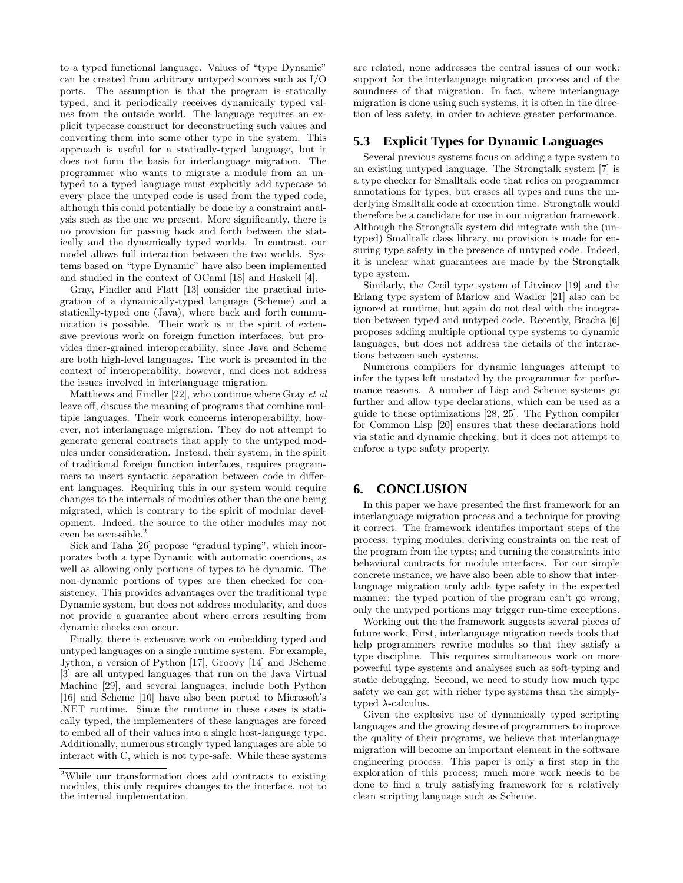to a typed functional language. Values of "type Dynamic" can be created from arbitrary untyped sources such as I/O ports. The assumption is that the program is statically typed, and it periodically receives dynamically typed values from the outside world. The language requires an explicit typecase construct for deconstructing such values and converting them into some other type in the system. This approach is useful for a statically-typed language, but it does not form the basis for interlanguage migration. The programmer who wants to migrate a module from an untyped to a typed language must explicitly add typecase to every place the untyped code is used from the typed code, although this could potentially be done by a constraint analysis such as the one we present. More significantly, there is no provision for passing back and forth between the statically and the dynamically typed worlds. In contrast, our model allows full interaction between the two worlds. Systems based on "type Dynamic" have also been implemented and studied in the context of OCaml [18] and Haskell [4].

Gray, Findler and Flatt [13] consider the practical integration of a dynamically-typed language (Scheme) and a statically-typed one (Java), where back and forth communication is possible. Their work is in the spirit of extensive previous work on foreign function interfaces, but provides finer-grained interoperability, since Java and Scheme are both high-level languages. The work is presented in the context of interoperability, however, and does not address the issues involved in interlanguage migration.

Matthews and Findler [22], who continue where Gray et al leave off, discuss the meaning of programs that combine multiple languages. Their work concerns interoperability, however, not interlanguage migration. They do not attempt to generate general contracts that apply to the untyped modules under consideration. Instead, their system, in the spirit of traditional foreign function interfaces, requires programmers to insert syntactic separation between code in different languages. Requiring this in our system would require changes to the internals of modules other than the one being migrated, which is contrary to the spirit of modular development. Indeed, the source to the other modules may not even be accessible.<sup>2</sup>

Siek and Taha [26] propose "gradual typing", which incorporates both a type Dynamic with automatic coercions, as well as allowing only portions of types to be dynamic. The non-dynamic portions of types are then checked for consistency. This provides advantages over the traditional type Dynamic system, but does not address modularity, and does not provide a guarantee about where errors resulting from dynamic checks can occur.

Finally, there is extensive work on embedding typed and untyped languages on a single runtime system. For example, Jython, a version of Python [17], Groovy [14] and JScheme [3] are all untyped languages that run on the Java Virtual Machine [29], and several languages, include both Python [16] and Scheme [10] have also been ported to Microsoft's .NET runtime. Since the runtime in these cases is statically typed, the implementers of these languages are forced to embed all of their values into a single host-language type. Additionally, numerous strongly typed languages are able to interact with C, which is not type-safe. While these systems

are related, none addresses the central issues of our work: support for the interlanguage migration process and of the soundness of that migration. In fact, where interlanguage migration is done using such systems, it is often in the direction of less safety, in order to achieve greater performance.

## **5.3 Explicit Types for Dynamic Languages**

Several previous systems focus on adding a type system to an existing untyped language. The Strongtalk system [7] is a type checker for Smalltalk code that relies on programmer annotations for types, but erases all types and runs the underlying Smalltalk code at execution time. Strongtalk would therefore be a candidate for use in our migration framework. Although the Strongtalk system did integrate with the (untyped) Smalltalk class library, no provision is made for ensuring type safety in the presence of untyped code. Indeed, it is unclear what guarantees are made by the Strongtalk type system.

Similarly, the Cecil type system of Litvinov [19] and the Erlang type system of Marlow and Wadler [21] also can be ignored at runtime, but again do not deal with the integration between typed and untyped code. Recently, Bracha [6] proposes adding multiple optional type systems to dynamic languages, but does not address the details of the interactions between such systems.

Numerous compilers for dynamic languages attempt to infer the types left unstated by the programmer for performance reasons. A number of Lisp and Scheme systems go further and allow type declarations, which can be used as a guide to these optimizations [28, 25]. The Python compiler for Common Lisp [20] ensures that these declarations hold via static and dynamic checking, but it does not attempt to enforce a type safety property.

## **6. CONCLUSION**

In this paper we have presented the first framework for an interlanguage migration process and a technique for proving it correct. The framework identifies important steps of the process: typing modules; deriving constraints on the rest of the program from the types; and turning the constraints into behavioral contracts for module interfaces. For our simple concrete instance, we have also been able to show that interlanguage migration truly adds type safety in the expected manner: the typed portion of the program can't go wrong; only the untyped portions may trigger run-time exceptions.

Working out the the framework suggests several pieces of future work. First, interlanguage migration needs tools that help programmers rewrite modules so that they satisfy a type discipline. This requires simultaneous work on more powerful type systems and analyses such as soft-typing and static debugging. Second, we need to study how much type safety we can get with richer type systems than the simplytyped  $\lambda$ -calculus.

Given the explosive use of dynamically typed scripting languages and the growing desire of programmers to improve the quality of their programs, we believe that interlanguage migration will become an important element in the software engineering process. This paper is only a first step in the exploration of this process; much more work needs to be done to find a truly satisfying framework for a relatively clean scripting language such as Scheme.

<sup>2</sup>While our transformation does add contracts to existing modules, this only requires changes to the interface, not to the internal implementation.